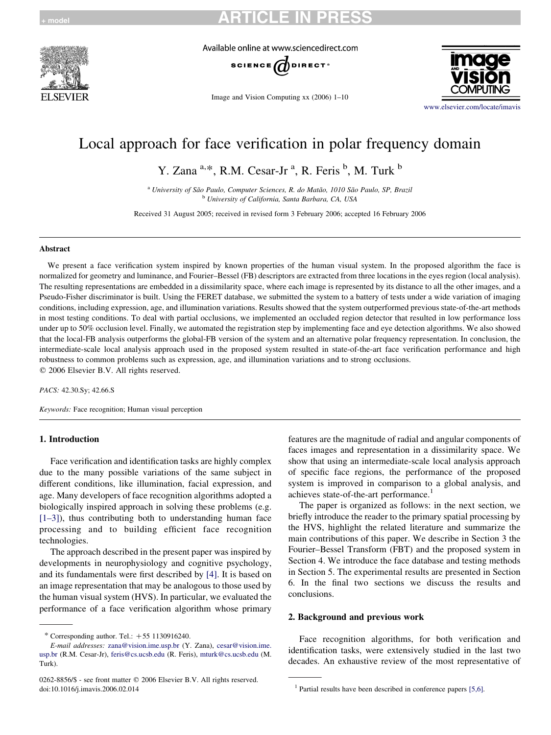Available online at www.sciencedirect.com



Image and Vision Computing xx (2006) 1–10



[www.elsevier.com/locate/imavis](http://www.elsevier.com/locate/imavis)

## Local approach for face verification in polar frequency domain

Y. Zana <sup>a,\*</sup>, R.M. Cesar-Jr<sup>a</sup>, R. Feris<sup>b</sup>, M. Turk<sup>b</sup>

<sup>a</sup> University of São Paulo, Computer Sciences, R. do Matão, 1010 São Paulo, SP, Brazil <sup>b</sup> University of California, Santa Barbara, CA, USA

Received 31 August 2005; received in revised form 3 February 2006; accepted 16 February 2006

#### Abstract

We present a face verification system inspired by known properties of the human visual system. In the proposed algorithm the face is normalized for geometry and luminance, and Fourier–Bessel (FB) descriptors are extracted from three locations in the eyes region (local analysis). The resulting representations are embedded in a dissimilarity space, where each image is represented by its distance to all the other images, and a Pseudo-Fisher discriminator is built. Using the FERET database, we submitted the system to a battery of tests under a wide variation of imaging conditions, including expression, age, and illumination variations. Results showed that the system outperformed previous state-of-the-art methods in most testing conditions. To deal with partial occlusions, we implemented an occluded region detector that resulted in low performance loss under up to 50% occlusion level. Finally, we automated the registration step by implementing face and eye detection algorithms. We also showed that the local-FB analysis outperforms the global-FB version of the system and an alternative polar frequency representation. In conclusion, the intermediate-scale local analysis approach used in the proposed system resulted in state-of-the-art face verification performance and high robustness to common problems such as expression, age, and illumination variations and to strong occlusions.  $© 2006 Elsevier B.V. All rights reserved.$ 

PACS: 42.30.Sy; 42.66.S

Keywords: Face recognition; Human visual perception

### 1. Introduction

Face verification and identification tasks are highly complex due to the many possible variations of the same subject in different conditions, like illumination, facial expression, and age. Many developers of face recognition algorithms adopted a biologically inspired approach in solving these problems (e.g.  $[1-3]$ , thus contributing both to understanding human face processing and to building efficient face recognition technologies.

The approach described in the present paper was inspired by developments in neurophysiology and cognitive psychology, and its fundamentals were first described by [\[4\].](#page-8-0) It is based on an image representation that may be analogous to those used by the human visual system (HVS). In particular, we evaluated the performance of a face verification algorithm whose primary features are the magnitude of radial and angular components of faces images and representation in a dissimilarity space. We show that using an intermediate-scale local analysis approach of specific face regions, the performance of the proposed system is improved in comparison to a global analysis, and achieves state-of-the-art performance.<sup>1</sup>

The paper is organized as follows: in the next section, we briefly introduce the reader to the primary spatial processing by the HVS, highlight the related literature and summarize the main contributions of this paper. We describe in Section 3 the Fourier–Bessel Transform (FBT) and the proposed system in Section 4. We introduce the face database and testing methods in Section 5. The experimental results are presented in Section 6. In the final two sections we discuss the results and conclusions.

### 2. Background and previous work

Face recognition algorithms, for both verification and identification tasks, were extensively studied in the last two decades. An exhaustive review of the most representative of

 $*$  Corresponding author. Tel.:  $+55$  1130916240.

E-mail addresses: [zana@vision.ime.usp.br](mailto:zana@vision.ime.usp.br) (Y. Zana), [cesar@vision.ime.](mailto:cesar@vision.ime.usp.br) [usp.br](mailto:cesar@vision.ime.usp.br) (R.M. Cesar-Jr), [feris@cs.ucsb.edu](mailto:feris@cs.ucsb.edu) (R. Feris), [mturk@cs.ucsb.edu](mailto:mturk@cs.ucsb.edu) (M. Turk).

<sup>0262-8856/\$ -</sup> see front matter © 2006 Elsevier B.V. All rights reserved. doi:10.1016/j.imavis.2006.02.014

 $<sup>1</sup>$  Partial results have been described in conference papers [\[5,6\]](#page-8-0).</sup>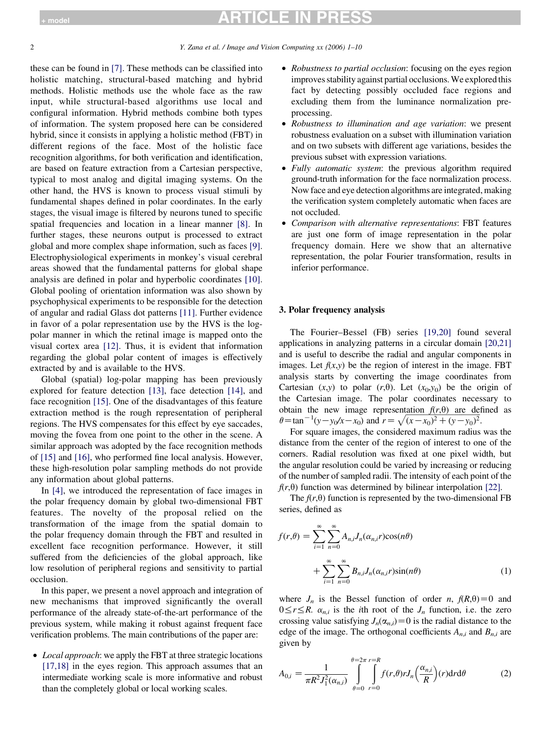2 Y. Zana et al. / Image and Vision Computing xx (2006) 1–10

these can be found in [\[7\]](#page-8-0). These methods can be classified into holistic matching, structural-based matching and hybrid methods. Holistic methods use the whole face as the raw input, while structural-based algorithms use local and configural information. Hybrid methods combine both types of information. The system proposed here can be considered hybrid, since it consists in applying a holistic method (FBT) in different regions of the face. Most of the holistic face recognition algorithms, for both verification and identification, are based on feature extraction from a Cartesian perspective, typical to most analog and digital imaging systems. On the other hand, the HVS is known to process visual stimuli by fundamental shapes defined in polar coordinates. In the early stages, the visual image is filtered by neurons tuned to specific spatial frequencies and location in a linear manner [\[8\]](#page-8-0). In further stages, these neurons output is processed to extract global and more complex shape information, such as faces [\[9\]](#page-8-0). Electrophysiological experiments in monkey's visual cerebral areas showed that the fundamental patterns for global shape analysis are defined in polar and hyperbolic coordinates [\[10\]](#page-8-0). Global pooling of orientation information was also shown by psychophysical experiments to be responsible for the detection of angular and radial Glass dot patterns [\[11\].](#page-8-0) Further evidence in favor of a polar representation use by the HVS is the logpolar manner in which the retinal image is mapped onto the visual cortex area [\[12\]](#page-8-0). Thus, it is evident that information regarding the global polar content of images is effectively extracted by and is available to the HVS.

Global (spatial) log-polar mapping has been previously explored for feature detection [\[13\]](#page-8-0), face detection [\[14\],](#page-8-0) and face recognition [\[15\]](#page-8-0). One of the disadvantages of this feature extraction method is the rough representation of peripheral regions. The HVS compensates for this effect by eye saccades, moving the fovea from one point to the other in the scene. A similar approach was adopted by the face recognition methods of [\[15\]](#page-8-0) and [\[16\]](#page-8-0), who performed fine local analysis. However, these high-resolution polar sampling methods do not provide any information about global patterns.

In [\[4\]](#page-8-0), we introduced the representation of face images in the polar frequency domain by global two-dimensional FBT features. The novelty of the proposal relied on the transformation of the image from the spatial domain to the polar frequency domain through the FBT and resulted in excellent face recognition performance. However, it still suffered from the deficiencies of the global approach, like low resolution of peripheral regions and sensitivity to partial occlusion.

In this paper, we present a novel approach and integration of new mechanisms that improved significantly the overall performance of the already state-of-the-art performance of the previous system, while making it robust against frequent face verification problems. The main contributions of the paper are:

• *Local approach*: we apply the FBT at three strategic locations [\[17,18\]](#page-8-0) in the eyes region. This approach assumes that an intermediate working scale is more informative and robust than the completely global or local working scales.

- Robustness to partial occlusion: focusing on the eyes region improves stability against partial occlusions.We explored this fact by detecting possibly occluded face regions and excluding them from the luminance normalization preprocessing.
- † Robustness to illumination and age variation: we present robustness evaluation on a subset with illumination variation and on two subsets with different age variations, besides the previous subset with expression variations.
- Fully automatic system: the previous algorithm required ground-truth information for the face normalization process. Now face and eye detection algorithms are integrated, making the verification system completely automatic when faces are not occluded.
- † Comparison with alternative representations: FBT features are just one form of image representation in the polar frequency domain. Here we show that an alternative representation, the polar Fourier transformation, results in inferior performance.

#### 3. Polar frequency analysis

The Fourier–Bessel (FB) series [\[19,20\]](#page-8-0) found several applications in analyzing patterns in a circular domain [\[20,21\]](#page-8-0) and is useful to describe the radial and angular components in images. Let  $f(x,y)$  be the region of interest in the image. FBT analysis starts by converting the image coordinates from Cartesian  $(x,y)$  to polar  $(r,\theta)$ . Let  $(x_0,y_0)$  be the origin of the Cartesian image. The polar coordinates necessary to obtain the new image representation  $f(r,\theta)$  are defined as  $\theta = \tan^{-1}(y - y_0/x - x_0)$  and  $r = \sqrt{(x - x_0)^2 + (y - y_0)^2}$ .

For square images, the considered maximum radius was the distance from the center of the region of interest to one of the corners. Radial resolution was fixed at one pixel width, but the angular resolution could be varied by increasing or reducing of the number of sampled radii. The intensity of each point of the  $f(r,\theta)$  function was determined by bilinear interpolation [\[22\].](#page-9-0)

The  $f(r,\theta)$  function is represented by the two-dimensional FB series, defined as

$$
f(r,\theta) = \sum_{i=1}^{\infty} \sum_{n=0}^{\infty} A_{n,i} J_n(\alpha_{n,i}r) \cos(n\theta)
$$

$$
+ \sum_{i=1}^{\infty} \sum_{n=0}^{\infty} B_{n,i} J_n(\alpha_{n,i}r) \sin(n\theta)
$$
(1)

where  $J_n$  is the Bessel function of order n,  $f(R,\theta)=0$  and  $0 \leq r \leq R$ .  $\alpha_{n,i}$  is the *i*th root of the  $J_n$  function, i.e. the zero crossing value satisfying  $J_n(\alpha_{n,i})=0$  is the radial distance to the edge of the image. The orthogonal coefficients  $A_{n,i}$  and  $B_{n,i}$  are given by

$$
A_{0,i} = \frac{1}{\pi R^2 J_1^2(\alpha_{n,i})} \int\limits_{\theta=0}^{\theta=2\pi} \int\limits_{r=0}^{r=R} f(r,\theta) r J_n\left(\frac{\alpha_{n,i}}{R}\right)(r) \mathrm{d}r \mathrm{d}\theta \tag{2}
$$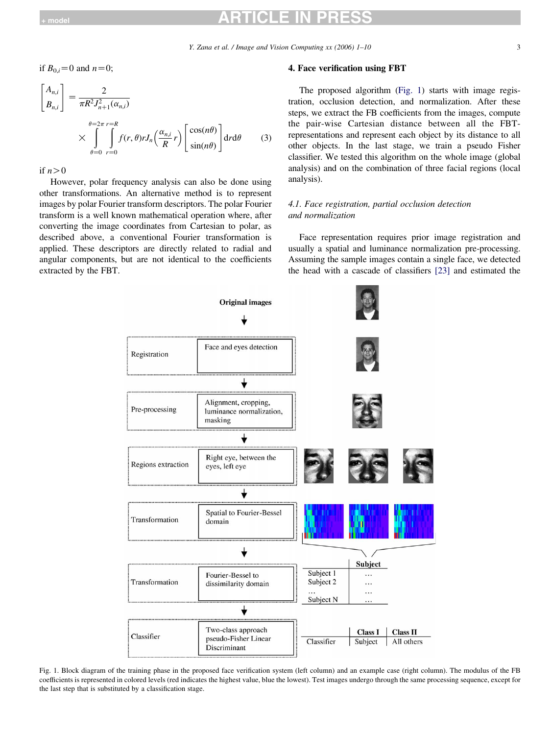<span id="page-2-0"></span>if  $B_{0,i}=0$  and  $n=0$ ;

$$
\begin{bmatrix}\nA_{n,i} \\
B_{n,i}\n\end{bmatrix} = \frac{2}{\pi R^2 J_{n+1}^2(\alpha_{n,i})}\n\times \int_{\theta=0}^{\theta=2\pi} \int_{r=0}^{r=R} f(r,\theta) r J_n\left(\frac{\alpha_{n,i}}{R}r\right) \begin{bmatrix}\n\cos(n\theta) \\
\sin(n\theta)\n\end{bmatrix} dr d\theta\n\tag{3}
$$

if  $n>0$ 

However, polar frequency analysis can also be done using other transformations. An alternative method is to represent images by polar Fourier transform descriptors. The polar Fourier transform is a well known mathematical operation where, after converting the image coordinates from Cartesian to polar, as described above, a conventional Fourier transformation is applied. These descriptors are directly related to radial and angular components, but are not identical to the coefficients extracted by the FBT.

### 4. Face verification using FBT

The proposed algorithm (Fig. 1) starts with image registration, occlusion detection, and normalization. After these steps, we extract the FB coefficients from the images, compute the pair-wise Cartesian distance between all the FBTrepresentations and represent each object by its distance to all other objects. In the last stage, we train a pseudo Fisher classifier. We tested this algorithm on the whole image (global analysis) and on the combination of three facial regions (local analysis).

## 4.1. Face registration, partial occlusion detection and normalization

Face representation requires prior image registration and usually a spatial and luminance normalization pre-processing. Assuming the sample images contain a single face, we detected the head with a cascade of classifiers [\[23\]](#page-9-0) and estimated the



Fig. 1. Block diagram of the training phase in the proposed face verification system (left column) and an example case (right column). The modulus of the FB coefficients is represented in colored levels (red indicates the highest value, blue the lowest). Test images undergo through the same processing sequence, except for the last step that is substituted by a classification stage.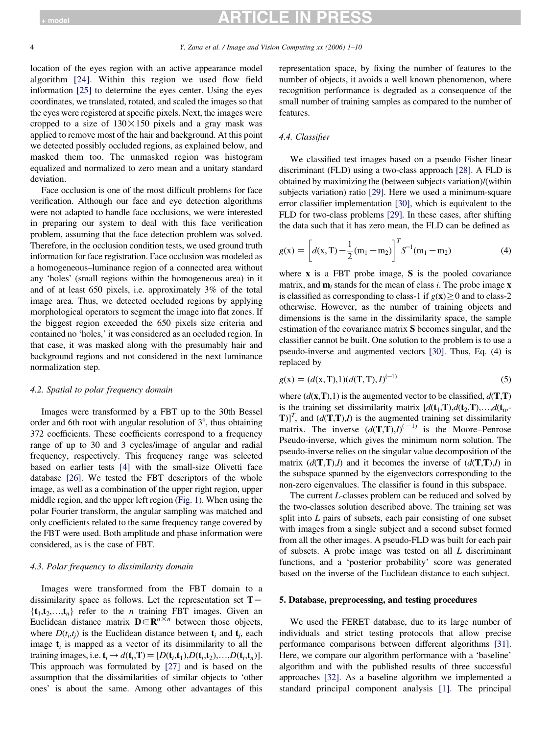## CLE IN P

location of the eyes region with an active appearance model algorithm [\[24\]](#page-9-0). Within this region we used flow field information [\[25\]](#page-9-0) to determine the eyes center. Using the eyes coordinates, we translated, rotated, and scaled the images so that the eyes were registered at specific pixels. Next, the images were cropped to a size of  $130 \times 150$  pixels and a gray mask was applied to remove most of the hair and background. At this point we detected possibly occluded regions, as explained below, and masked them too. The unmasked region was histogram equalized and normalized to zero mean and a unitary standard deviation.

Face occlusion is one of the most difficult problems for face verification. Although our face and eye detection algorithms were not adapted to handle face occlusions, we were interested in preparing our system to deal with this face verification problem, assuming that the face detection problem was solved. Therefore, in the occlusion condition tests, we used ground truth information for face registration. Face occlusion was modeled as a homogeneous–luminance region of a connected area without any 'holes' (small regions within the homogeneous area) in it and of at least 650 pixels, i.e. approximately 3% of the total image area. Thus, we detected occluded regions by applying morphological operators to segment the image into flat zones. If the biggest region exceeded the 650 pixels size criteria and contained no 'holes,' it was considered as an occluded region. In that case, it was masked along with the presumably hair and background regions and not considered in the next luminance normalization step.

### 4.2. Spatial to polar frequency domain

Images were transformed by a FBT up to the 30th Bessel order and 6th root with angular resolution of 3*8*, thus obtaining 372 coefficients. These coefficients correspond to a frequency range of up to 30 and 3 cycles/image of angular and radial frequency, respectively. This frequency range was selected based on earlier tests [\[4\]](#page-8-0) with the small-size Olivetti face database [\[26\].](#page-9-0) We tested the FBT descriptors of the whole image, as well as a combination of the upper right region, upper middle region, and the upper left region [\(Fig. 1\)](#page-2-0). When using the polar Fourier transform, the angular sampling was matched and only coefficients related to the same frequency range covered by the FBT were used. Both amplitude and phase information were considered, as is the case of FBT.

### 4.3. Polar frequency to dissimilarity domain

Images were transformed from the FBT domain to a dissimilarity space as follows. Let the representation set  $T=$  $\{t_1, t_2, \ldots, t_n\}$  refer to the *n* training FBT images. Given an Euclidean distance matrix  $\mathbf{D} \in \mathbb{R}^{n \times n}$  between those objects, where  $D(t_i,t_i)$  is the Euclidean distance between  $t_i$  and  $t_i$ , each image  $t_i$  is mapped as a vector of its disimmilarity to all the training images, i.e.  $\mathbf{t}_i \rightarrow d(\mathbf{t}_i, \mathbf{T}) = [D(\mathbf{t}_i, \mathbf{t}_1), D(\mathbf{t}_i, \mathbf{t}_2), \dots, D(\mathbf{t}_i, \mathbf{t}_n)].$ This approach was formulated by [\[27\]](#page-9-0) and is based on the assumption that the dissimilarities of similar objects to 'other ones' is about the same. Among other advantages of this

representation space, by fixing the number of features to the number of objects, it avoids a well known phenomenon, where recognition performance is degraded as a consequence of the small number of training samples as compared to the number of features.

### 4.4. Classifier

We classified test images based on a pseudo Fisher linear discriminant (FLD) using a two-class approach [\[28\].](#page-9-0) A FLD is obtained by maximizing the (between subjects variation)/(within subjects variation) ratio [\[29\].](#page-9-0) Here we used a minimum-square error classifier implementation [\[30\]](#page-9-0), which is equivalent to the FLD for two-class problems [\[29\].](#page-9-0) In these cases, after shifting the data such that it has zero mean, the FLD can be defined as

$$
g(x) = \left[ d(x, T) - \frac{1}{2} (m_1 - m_2) \right]^T S^{-1} (m_1 - m_2)
$$
 (4)

where  $x$  is a FBT probe image,  $S$  is the pooled covariance matrix, and  $m_i$  stands for the mean of class i. The probe image  $x$ is classified as corresponding to class-1 if  $g(x) \ge 0$  and to class-2 otherwise. However, as the number of training objects and dimensions is the same in the dissimilarity space, the sample estimation of the covariance matrix S becomes singular, and the classifier cannot be built. One solution to the problem is to use a pseudo-inverse and augmented vectors [\[30\].](#page-9-0) Thus, Eq. (4) is replaced by

$$
g(x) = (d(x, T), 1)(d(T, T), I)^{(-1)}
$$
\n(5)

where  $(d(\mathbf{x}, \mathbf{T}), 1)$  is the augmented vector to be classified,  $d(\mathbf{T}, \mathbf{T})$ is the training set dissimilarity matrix  $[d(t_1,T),d(t_2,T),...,d(t_n,-)]$ T)]<sup>T</sup>, and  $(d(T,T),I)$  is the augmented training set dissimilarity matrix. The inverse  $(d(T,T), I)^{(-1)}$  is the Moore–Penrose Pseudo-inverse, which gives the minimum norm solution. The pseudo-inverse relies on the singular value decomposition of the matrix  $(d(T,T),I)$  and it becomes the inverse of  $(d(T,T),I)$  in the subspace spanned by the eigenvectors corresponding to the non-zero eigenvalues. The classifier is found in this subspace.

The current L-classes problem can be reduced and solved by the two-classes solution described above. The training set was split into L pairs of subsets, each pair consisting of one subset with images from a single subject and a second subset formed from all the other images. A pseudo-FLD was built for each pair of subsets. A probe image was tested on all L discriminant functions, and a 'posterior probability' score was generated based on the inverse of the Euclidean distance to each subject.

### 5. Database, preprocessing, and testing procedures

We used the FERET database, due to its large number of individuals and strict testing protocols that allow precise performance comparisons between different algorithms [\[31\]](#page-9-0). Here, we compare our algorithm performance with a 'baseline' algorithm and with the published results of three successful approaches [\[32\]](#page-9-0). As a baseline algorithm we implemented a standard principal component analysis [\[1\].](#page-8-0) The principal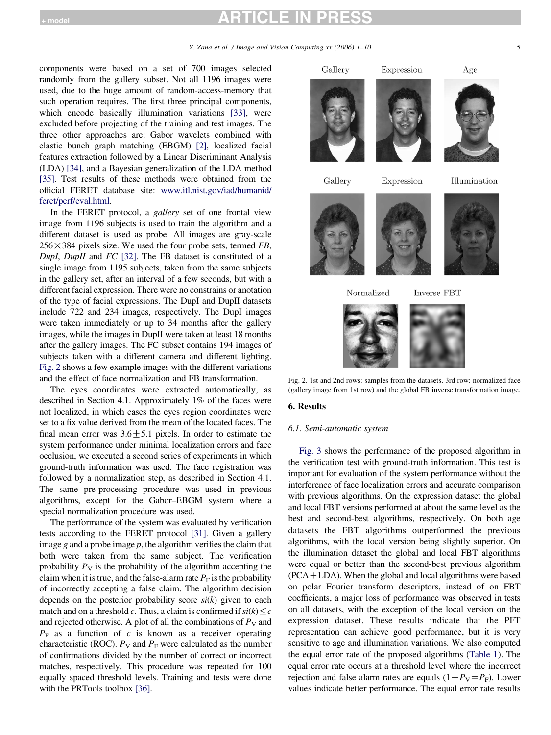Y. Zana et al. / Image and Vision Computing xx (2006) 1–10 5

components were based on a set of 700 images selected randomly from the gallery subset. Not all 1196 images were used, due to the huge amount of random-access-memory that such operation requires. The first three principal components, which encode basically illumination variations [\[33\]](#page-9-0), were excluded before projecting of the training and test images. The three other approaches are: Gabor wavelets combined with elastic bunch graph matching (EBGM) [\[2\]](#page-8-0), localized facial features extraction followed by a Linear Discriminant Analysis (LDA) [\[34\]](#page-9-0), and a Bayesian generalization of the LDA method [\[35\].](#page-9-0) Test results of these methods were obtained from the official FERET database site: [www.itl.nist.gov/iad/humanid/](http://www.itl.nist.gov/iad/humanid/feret/perf/eval.html) [feret/perf/eval.html](http://www.itl.nist.gov/iad/humanid/feret/perf/eval.html).

In the FERET protocol, a gallery set of one frontal view image from 1196 subjects is used to train the algorithm and a different dataset is used as probe. All images are gray-scale  $256 \times 384$  pixels size. We used the four probe sets, termed FB, DupI, DupII and FC [\[32\]](#page-9-0). The FB dataset is constituted of a single image from 1195 subjects, taken from the same subjects in the gallery set, after an interval of a few seconds, but with a different facial expression. There were no constrains or anotation of the type of facial expressions. The DupI and DupII datasets include 722 and 234 images, respectively. The DupI images were taken immediately or up to 34 months after the gallery images, while the images in DupII were taken at least 18 months after the gallery images. The FC subset contains 194 images of subjects taken with a different camera and different lighting. Fig. 2 shows a few example images with the different variations and the effect of face normalization and FB transformation.

The eyes coordinates were extracted automatically, as described in Section 4.1. Approximately 1% of the faces were not localized, in which cases the eyes region coordinates were set to a fix value derived from the mean of the located faces. The final mean error was  $3.6+5.1$  pixels. In order to estimate the system performance under minimal localization errors and face occlusion, we executed a second series of experiments in which ground-truth information was used. The face registration was followed by a normalization step, as described in Section 4.1. The same pre-processing procedure was used in previous algorithms, except for the Gabor–EBGM system where a special normalization procedure was used.

The performance of the system was evaluated by verification tests according to the FERET protocol [\[31\].](#page-9-0) Given a gallery image g and a probe image  $p$ , the algorithm verifies the claim that both were taken from the same subject. The verification probability  $P_V$  is the probability of the algorithm accepting the claim when it is true, and the false-alarm rate  $P_F$  is the probability of incorrectly accepting a false claim. The algorithm decision depends on the posterior probability score  $si(k)$  given to each match and on a threshold c. Thus, a claim is confirmed if  $si(k) \leq c$ and rejected otherwise. A plot of all the combinations of  $P_V$  and  $P_F$  as a function of c is known as a receiver operating characteristic (ROC).  $P_V$  and  $P_F$  were calculated as the number of confirmations divided by the number of correct or incorrect matches, respectively. This procedure was repeated for 100 equally spaced threshold levels. Training and tests were done with the PRTools toolbox [\[36\]](#page-9-0).



Fig. 2. 1st and 2nd rows: samples from the datasets. 3rd row: normalized face (gallery image from 1st row) and the global FB inverse transformation image.

### 6. Results

#### 6.1. Semi-automatic system

[Fig. 3](#page-5-0) shows the performance of the proposed algorithm in the verification test with ground-truth information. This test is important for evaluation of the system performance without the interference of face localization errors and accurate comparison with previous algorithms. On the expression dataset the global and local FBT versions performed at about the same level as the best and second-best algorithms, respectively. On both age datasets the FBT algorithms outperformed the previous algorithms, with the local version being slightly superior. On the illumination dataset the global and local FBT algorithms were equal or better than the second-best previous algorithm  $(PCA + LDA)$ . When the global and local algorithms were based on polar Fourier transform descriptors, instead of on FBT coefficients, a major loss of performance was observed in tests on all datasets, with the exception of the local version on the expression dataset. These results indicate that the PFT representation can achieve good performance, but it is very sensitive to age and illumination variations. We also computed the equal error rate of the proposed algorithms [\(Table 1](#page-5-0)). The equal error rate occurs at a threshold level where the incorrect rejection and false alarm rates are equals  $(1-P_V=Pe)$ . Lower values indicate better performance. The equal error rate results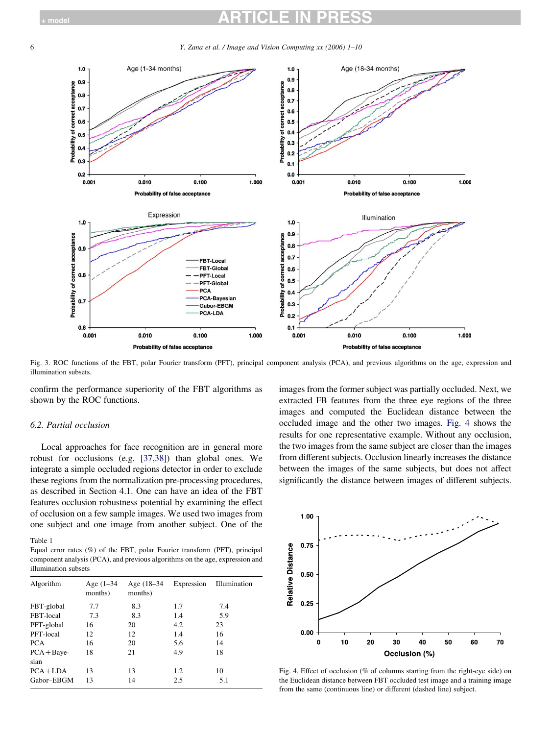<span id="page-5-0"></span>6 Y. Zana et al. / Image and Vision Computing xx (2006) 1–10



Fig. 3. ROC functions of the FBT, polar Fourier transform (PFT), principal component analysis (PCA), and previous algorithms on the age, expression and illumination subsets.

confirm the performance superiority of the FBT algorithms as shown by the ROC functions.

#### 6.2. Partial occlusion

Local approaches for face recognition are in general more robust for occlusions (e.g. [\[37,38\]](#page-9-0)) than global ones. We integrate a simple occluded regions detector in order to exclude these regions from the normalization pre-processing procedures, as described in Section 4.1. One can have an idea of the FBT features occlusion robustness potential by examining the effect of occlusion on a few sample images. We used two images from one subject and one image from another subject. One of the

Table 1

Equal error rates (%) of the FBT, polar Fourier transform (PFT), principal component analysis (PCA), and previous algorithms on the age, expression and illumination subsets

| Algorithm             | Age $(1-34)$<br>months) | Age $(18-34)$<br>months) | Expression | Illumination |
|-----------------------|-------------------------|--------------------------|------------|--------------|
| FBT-global            | 7.7                     | 8.3                      | 1.7        | 7.4          |
| FBT-local             | 7.3                     | 8.3                      | 1.4        | 5.9          |
| PFT-global            | 16                      | 20                       | 4.2        | 23           |
| PFT-local             | 12                      | 12                       | 1.4        | 16           |
| <b>PCA</b>            | 16                      | 20                       | 5.6        | 14           |
| $PCA + Baye-$<br>sian | 18                      | 21                       | 4.9        | 18           |
| $PCA + LDA$           | 13                      | 13                       | 1.2        | 10           |
| Gabor-EBGM            | 13                      | 14                       | 2.5        | 5.1          |

images from the former subject was partially occluded. Next, we extracted FB features from the three eye regions of the three images and computed the Euclidean distance between the occluded image and the other two images. Fig. 4 shows the results for one representative example. Without any occlusion, the two images from the same subject are closer than the images from different subjects. Occlusion linearly increases the distance between the images of the same subjects, but does not affect significantly the distance between images of different subjects.



Fig. 4. Effect of occlusion (% of columns starting from the right-eye side) on the Euclidean distance between FBT occluded test image and a training image from the same (continuous line) or different (dashed line) subject.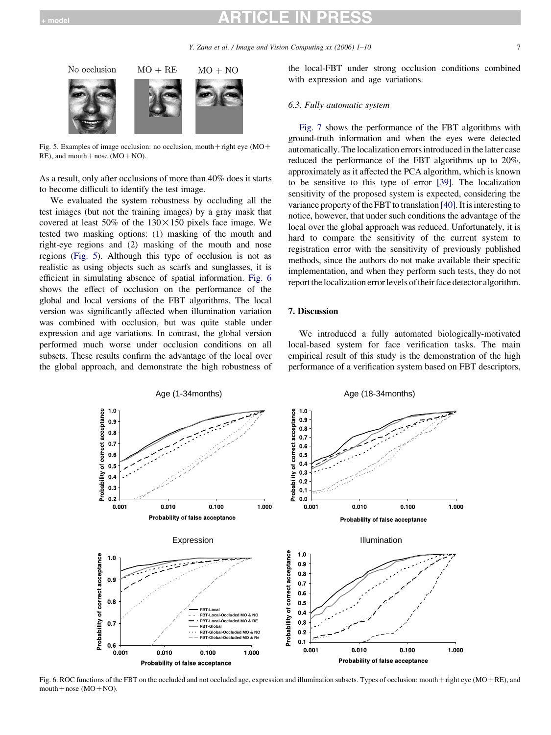Y. Zana et al. / Image and Vision Computing xx (2006) 1-10 7



Fig. 5. Examples of image occlusion: no occlusion, mouth + right eye ( $MO+$ RE), and mouth  $+$  nose (MO  $+$  NO).

As a result, only after occlusions of more than 40% does it starts to become difficult to identify the test image.

We evaluated the system robustness by occluding all the test images (but not the training images) by a gray mask that covered at least 50% of the  $130 \times 150$  pixels face image. We tested two masking options: (1) masking of the mouth and right-eye regions and (2) masking of the mouth and nose regions (Fig. 5). Although this type of occlusion is not as realistic as using objects such as scarfs and sunglasses, it is efficient in simulating absence of spatial information. Fig. 6 shows the effect of occlusion on the performance of the global and local versions of the FBT algorithms. The local version was significantly affected when illumination variation was combined with occlusion, but was quite stable under expression and age variations. In contrast, the global version performed much worse under occlusion conditions on all subsets. These results confirm the advantage of the local over the global approach, and demonstrate the high robustness of the local-FBT under strong occlusion conditions combined with expression and age variations.

### 6.3. Fully automatic system

[Fig. 7](#page-7-0) shows the performance of the FBT algorithms with ground-truth information and when the eyes were detected automatically. The localization errors introduced in the latter case reduced the performance of the FBT algorithms up to 20%, approximately as it affected the PCA algorithm, which is known to be sensitive to this type of error [\[39\]](#page-9-0). The localization sensitivity of the proposed system is expected, considering the variance property of the FBT to translation [\[40\]](#page-9-0). It is interesting to notice, however, that under such conditions the advantage of the local over the global approach was reduced. Unfortunately, it is hard to compare the sensitivity of the current system to registration error with the sensitivity of previously published methods, since the authors do not make available their specific implementation, and when they perform such tests, they do not report the localization error levels of their face detector algorithm.

### 7. Discussion

We introduced a fully automated biologically-motivated local-based system for face verification tasks. The main empirical result of this study is the demonstration of the high performance of a verification system based on FBT descriptors,



Fig. 6. ROC functions of the FBT on the occluded and not occluded age, expression and illumination subsets. Types of occlusion: mouth + right eye (MO+RE), and mouth + nose  $(MO + NO)$ .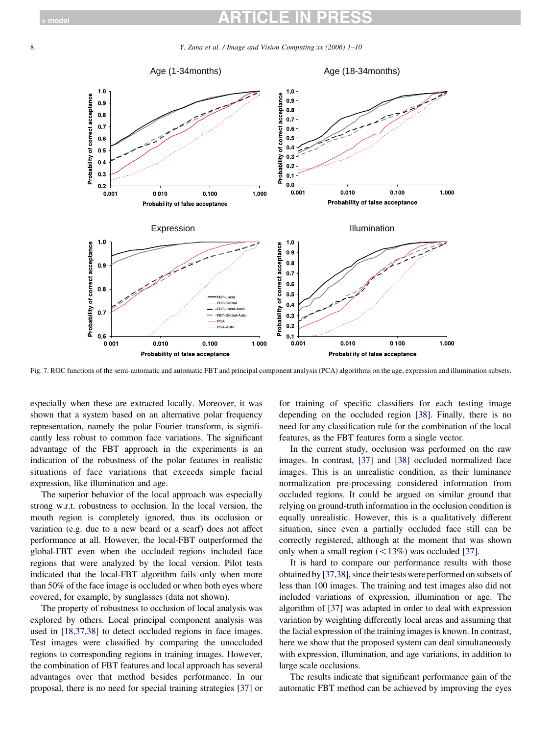<span id="page-7-0"></span>8 Y. Zana et al. / Image and Vision Computing xx (2006) 1–10



Fig. 7. ROC functions of the semi-automatic and automatic FBT and principal component analysis (PCA) algorithms on the age, expression and illumination subsets.

especially when these are extracted locally. Moreover, it was shown that a system based on an alternative polar frequency representation, namely the polar Fourier transform, is significantly less robust to common face variations. The significant advantage of the FBT approach in the experiments is an indication of the robustness of the polar features in realistic situations of face variations that exceeds simple facial expression, like illumination and age.

The superior behavior of the local approach was especially strong w.r.t. robustness to occlusion. In the local version, the mouth region is completely ignored, thus its occlusion or variation (e.g. due to a new beard or a scarf) does not affect performance at all. However, the local-FBT outperformed the global-FBT even when the occluded regions included face regions that were analyzed by the local version. Pilot tests indicated that the local-FBT algorithm fails only when more than 50% of the face image is occluded or when both eyes where covered, for example, by sunglasses (data not shown).

The property of robustness to occlusion of local analysis was explored by others. Local principal component analysis was used in [\[18,37,38\]](#page-8-0) to detect occluded regions in face images. Test images were classified by comparing the unoccluded regions to corresponding regions in training images. However, the combination of FBT features and local approach has several advantages over that method besides performance. In our proposal, there is no need for special training strategies [\[37\]](#page-9-0) or for training of specific classifiers for each testing image depending on the occluded region [\[38\]](#page-9-0). Finally, there is no need for any classification rule for the combination of the local features, as the FBT features form a single vector.

In the current study, occlusion was performed on the raw images. In contrast, [\[37\]](#page-9-0) and [\[38\]](#page-9-0) occluded normalized face images. This is an unrealistic condition, as their luminance normalization pre-processing considered information from occluded regions. It could be argued on similar ground that relying on ground-truth information in the occlusion condition is equally unrealistic. However, this is a qualitatively different situation, since even a partially occluded face still can be correctly registered, although at the moment that was shown only when a small region  $(<13\%)$  was occluded [\[37\].](#page-9-0)

It is hard to compare our performance results with those obtained by [\[37,38\],](#page-9-0) since their tests were performed on subsets of less than 100 images. The training and test images also did not included variations of expression, illumination or age. The algorithm of [\[37\]](#page-9-0) was adapted in order to deal with expression variation by weighting differently local areas and assuming that the facial expression of the training images is known. In contrast, here we show that the proposed system can deal simultaneously with expression, illumination, and age variations, in addition to large scale occlusions.

The results indicate that significant performance gain of the automatic FBT method can be achieved by improving the eyes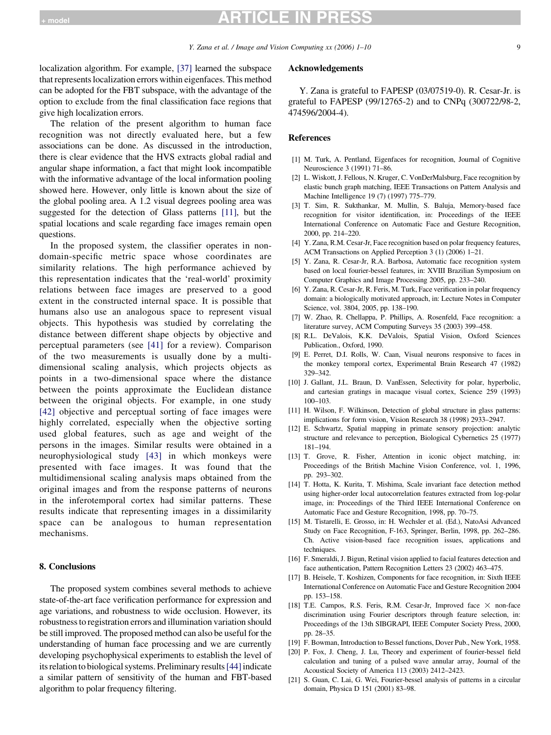## **RTICLE IN PRE**

<span id="page-8-0"></span>localization algorithm. For example, [\[37\]](#page-9-0) learned the subspace that represents localization errors within eigenfaces. This method can be adopted for the FBT subspace, with the advantage of the option to exclude from the final classification face regions that give high localization errors.

The relation of the present algorithm to human face recognition was not directly evaluated here, but a few associations can be done. As discussed in the introduction, there is clear evidence that the HVS extracts global radial and angular shape information, a fact that might look incompatible with the informative advantage of the local information pooling showed here. However, only little is known about the size of the global pooling area. A 1.2 visual degrees pooling area was suggested for the detection of Glass patterns [11], but the spatial locations and scale regarding face images remain open questions.

In the proposed system, the classifier operates in nondomain-specific metric space whose coordinates are similarity relations. The high performance achieved by this representation indicates that the 'real-world' proximity relations between face images are preserved to a good extent in the constructed internal space. It is possible that humans also use an analogous space to represent visual objects. This hypothesis was studied by correlating the distance between different shape objects by objective and perceptual parameters (see [\[41\]](#page-9-0) for a review). Comparison of the two measurements is usually done by a multidimensional scaling analysis, which projects objects as points in a two-dimensional space where the distance between the points approximate the Euclidean distance between the original objects. For example, in one study [\[42\]](#page-9-0) objective and perceptual sorting of face images were highly correlated, especially when the objective sorting used global features, such as age and weight of the persons in the images. Similar results were obtained in a neurophysiological study [\[43\]](#page-9-0) in which monkeys were presented with face images. It was found that the multidimensional scaling analysis maps obtained from the original images and from the response patterns of neurons in the inferotemporal cortex had similar patterns. These results indicate that representing images in a dissimilarity space can be analogous to human representation mechanisms.

### 8. Conclusions

The proposed system combines several methods to achieve state-of-the-art face verification performance for expression and age variations, and robustness to wide occlusion. However, its robustness to registration errors and illumination variation should be still improved. The proposed method can also be useful for the understanding of human face processing and we are currently developing psychophysical experiments to establish the level of its relation to biological systems. Preliminary results [\[44\]](#page-9-0) indicate a similar pattern of sensitivity of the human and FBT-based algorithm to polar frequency filtering.

#### Acknowledgements

Y. Zana is grateful to FAPESP (03/07519-0). R. Cesar-Jr. is grateful to FAPESP (99/12765-2) and to CNPq (300722/98-2, 474596/2004-4).

#### References

- [1] M. Turk, A. Pentland, Eigenfaces for recognition, Journal of Cognitive Neuroscience 3 (1991) 71–86.
- [2] L. Wiskott, J. Fellous, N. Kruger, C. VonDerMalsburg, Face recognition by elastic bunch graph matching, IEEE Transactions on Pattern Analysis and Machine Intelligence 19 (7) (1997) 775–779.
- [3] T. Sim, R. Sukthankar, M. Mullin, S. Baluja, Memory-based face recognition for visitor identification, in: Proceedings of the IEEE International Conference on Automatic Face and Gesture Recognition, 2000, pp. 214–220.
- [4] Y. Zana, R.M. Cesar-Jr, Face recognition based on polar frequency features, ACM Transactions on Applied Perception 3 (1) (2006) 1–21.
- [5] Y. Zana, R. Cesar-Jr, R.A. Barbosa, Automatic face recognition system based on local fourier-bessel features, in: XVIII Brazilian Symposium on Computer Graphics and Image Processing 2005, pp. 233–240.
- [6] Y. Zana, R. Cesar-Jr, R. Feris, M. Turk, Face verification in polar frequency domain: a biologically motivated approach, in: Lecture Notes in Computer Science, vol. 3804, 2005, pp. 138–190.
- [7] W. Zhao, R. Chellappa, P. Phillips, A. Rosenfeld, Face recognition: a literature survey, ACM Computing Surveys 35 (2003) 399–458.
- [8] R.L. DeValois, K.K. DeValois, Spatial Vision, Oxford Sciences Publication., Oxford, 1990.
- [9] E. Perret, D.I. Rolls, W. Caan, Visual neurons responsive to faces in the monkey temporal cortex, Experimental Brain Research 47 (1982) 329–342.
- [10] J. Gallant, J.L. Braun, D. VanEssen, Selectivity for polar, hyperbolic, and cartesian gratings in macaque visual cortex, Science 259 (1993) 100–103.
- [11] H. Wilson, F. Wilkinson, Detection of global structure in glass patterns: implications for form vision, Vision Research 38 (1998) 2933–2947.
- [12] E. Schwartz, Spatial mapping in primate sensory projection: analytic structure and relevance to perception, Biological Cybernetics 25 (1977) 181–194.
- [13] T. Grove, R. Fisher, Attention in iconic object matching, in: Proceedings of the British Machine Vision Conference, vol. 1, 1996, pp. 293–302.
- [14] T. Hotta, K. Kurita, T. Mishima, Scale invariant face detection method using higher-order local autocorrelation features extracted from log-polar image, in: Proceedings of the Third IEEE International Conference on Automatic Face and Gesture Recognition, 1998, pp. 70–75.
- [15] M. Tistarelli, E. Grosso, in: H. Wechsler et al. (Ed.), NatoAsi Advanced Study on Face Recognition, F-163, Springer, Berlin, 1998, pp. 262–286. Ch. Active vision-based face recognition issues, applications and techniques.
- [16] F. Smeraldi, J. Bigun, Retinal vision applied to facial features detection and face authentication, Pattern Recognition Letters 23 (2002) 463–475.
- [17] B. Heisele, T. Koshizen, Components for face recognition, in: Sixth IEEE International Conference on Automatic Face and Gesture Recognition 2004 pp. 153–158.
- [18] T.E. Campos, R.S. Feris, R.M. Cesar-Jr, Improved face  $\times$  non-face discrimination using Fourier descriptors through feature selection, in: Proceedings of the 13th SIBGRAPI, IEEE Computer Society Press, 2000, pp. 28–35.
- [19] F. Bowman, Introduction to Bessel functions, Dover Pub., New York, 1958.
- [20] P. Fox, J. Cheng, J. Lu, Theory and experiment of fourier-bessel field calculation and tuning of a pulsed wave annular array, Journal of the Acoustical Society of America 113 (2003) 2412–2423.
- [21] S. Guan, C. Lai, G. Wei, Fourier-bessel analysis of patterns in a circular domain, Physica D 151 (2001) 83–98.